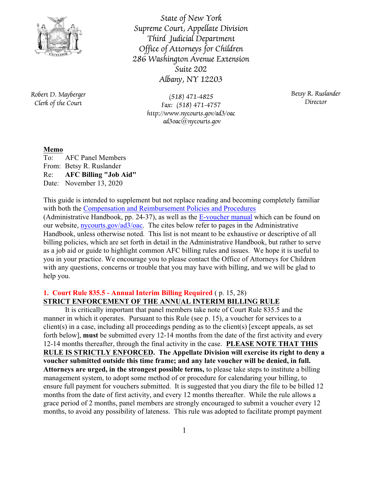

*State of New York Supreme Court, Appellate Division Third Judicial Department Office of Attorneys for Children 286 Washington Avenue Extension Suite 202 Albany, NY 12203*

*Robert D. Mayberger Clerk of the Court*

*(518) 471-4825 Fax: (518) 471-4757 http://www.nycourts.gov/ad3/oac ad3oac@nycourts.gov*

*Betsy R. Ruslander Director*

# **Memo**

To: AFC Panel Members From: Betsy R. Ruslander Re: **AFC Billing "Job Aid"** Date: November 13, 2020

This guide is intended to supplement but not replace reading and becoming completely familiar with both the [Compensation and Reimbursement Policies and Procedures](http://www.nycourts.gov/ad3/OAC/Forms/Admin_HB.pdf) (Administrative Handbook, pp. 24-37), as well as the [E-voucher manual](http://www.nycourts.gov/ad3/OAC/Forms/EVoucherManual.pdf) which can be found on our website, [nycourts.gov/ad3/oac](http://www.nycourts.gov/ad3/OAC/Index.html). The cites below refer to pages in the Administrative Handbook, unless otherwise noted. This list is not meant to be exhaustive or descriptive of all billing policies, which are set forth in detail in the Administrative Handbook, but rather to serve as a job aid or guide to highlight common AFC billing rules and issues. We hope it is useful to you in your practice. We encourage you to please contact the Office of Attorneys for Children with any questions, concerns or trouble that you may have with billing, and we will be glad to help you.

# **1. Court Rule 835.5 - Annual Interim Billing Required** ( p. 15, 28) **STRICT ENFORCEMENT OF THE ANNUAL INTERIM BILLING RULE**

It is critically important that panel members take note of Court Rule 835.5 and the manner in which it operates. Pursuant to this Rule (see p. 15), a voucher for services to a client(s) in a case, including all proceedings pending as to the client(s) [except appeals, as set forth below], **must** be submitted every 12-14 months from the date of the first activity and every 12-14 months thereafter, through the final activity in the case. **PLEASE NOTE THAT THIS RULE IS STRICTLY ENFORCED. The Appellate Division will exercise its right to deny a voucher submitted outside this time frame; and any late voucher will be denied, in full. Attorneys are urged, in the strongest possible terms,** to please take steps to institute a billing management system, to adopt some method of or procedure for calendaring your billing, to ensure full payment for vouchers submitted. It is suggested that you diary the file to be billed 12 months from the date of first activity, and every 12 months thereafter. While the rule allows a grace period of 2 months, panel members are strongly encouraged to submit a voucher every 12 months, to avoid any possibility of lateness. This rule was adopted to facilitate prompt payment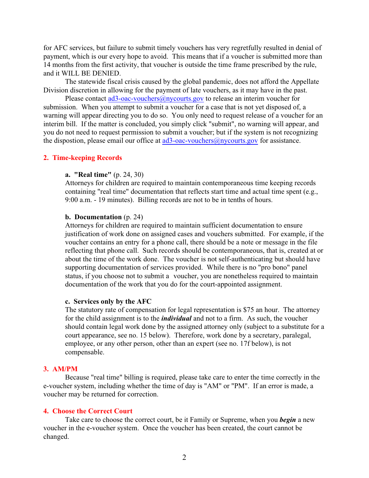for AFC services, but failure to submit timely vouchers has very regretfully resulted in denial of payment, which is our every hope to avoid. This means that if a voucher is submitted more than 14 months from the first activity, that voucher is outside the time frame prescribed by the rule, and it WILL BE DENIED.

The statewide fiscal crisis caused by the global pandemic, does not afford the Appellate Division discretion in allowing for the payment of late vouchers, as it may have in the past.

Please contact [ad3-oac-vouchers@nycourts.gov](mailto:ad3-oac-vouchers@nycourts.gov) to release an interim voucher for submission. When you attempt to submit a voucher for a case that is not yet disposed of, a warning will appear directing you to do so. You only need to request release of a voucher for an interim bill. If the matter is concluded, you simply click "submit", no warning will appear, and you do not need to request permission to submit a voucher; but if the system is not recognizing the dispostion, please email our office at  $\frac{ad3 - \text{oac-vouchers}(a)$  ny courts.gov for assistance.

### **2. Time-keeping Records**

### **a. "Real time"** (p. 24, 30)

Attorneys for children are required to maintain contemporaneous time keeping records containing "real time" documentation that reflects start time and actual time spent (e.g., 9:00 a.m. - 19 minutes). Billing records are not to be in tenths of hours.

#### **b. Documentation** (p. 24)

Attorneys for children are required to maintain sufficient documentation to ensure justification of work done on assigned cases and vouchers submitted. For example, if the voucher contains an entry for a phone call, there should be a note or message in the file reflecting that phone call. Such records should be contemporaneous, that is, created at or about the time of the work done. The voucher is not self-authenticating but should have supporting documentation of services provided. While there is no "pro bono" panel status, if you choose not to submit a voucher, you are nonetheless required to maintain documentation of the work that you do for the court-appointed assignment.

### **c. Services only by the AFC**

The statutory rate of compensation for legal representation is \$75 an hour. The attorney for the child assignment is to the *individual* and not to a firm. As such, the voucher should contain legal work done by the assigned attorney only (subject to a substitute for a court appearance, see no. 15 below). Therefore, work done by a secretary, paralegal, employee, or any other person, other than an expert (see no. 17f below), is not compensable.

## **3. AM/PM**

Because "real time" billing is required, please take care to enter the time correctly in the e-voucher system, including whether the time of day is "AM" or "PM". If an error is made, a voucher may be returned for correction.

### **4. Choose the Correct Court**

Take care to choose the correct court, be it Family or Supreme, when you *begin* a new voucher in the e-voucher system. Once the voucher has been created, the court cannot be changed.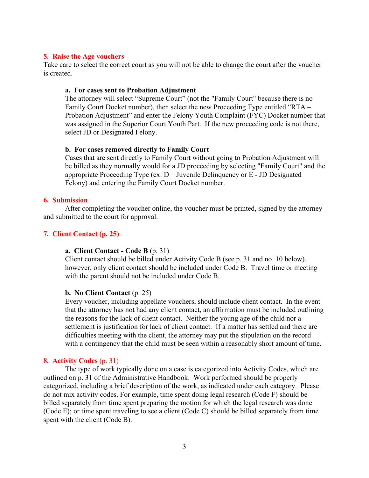## **5. Raise the Age vouchers**

Take care to select the correct court as you will not be able to change the court after the voucher is created.

## **a. For cases sent to Probation Adjustment**

The attorney will select "Supreme Court" (not the "Family Court" because there is no Family Court Docket number), then select the new Proceeding Type entitled "RTA – Probation Adjustment" and enter the Felony Youth Complaint (FYC) Docket number that was assigned in the Superior Court Youth Part. If the new proceeding code is not there, select JD or Designated Felony.

# **b. For cases removed directly to Family Court**

Cases that are sent directly to Family Court without going to Probation Adjustment will be billed as they normally would for a JD proceeding by selecting "Family Court" and the appropriate Proceeding Type (ex:  $D -$  Juvenile Delinquency or  $E -$  JD Designated Felony) and entering the Family Court Docket number.

## **6. Submission**

After completing the voucher online, the voucher must be printed, signed by the attorney and submitted to the court for approval.

# **7. Client Contact (p. 25)**

# **a. Client Contact - Code B** (p. 31)

Client contact should be billed under Activity Code B (see p. 31 and no. 10 below), however, only client contact should be included under Code B. Travel time or meeting with the parent should not be included under Code B.

# **b. No Client Contact** (p. 25)

Every voucher, including appellate vouchers, should include client contact. In the event that the attorney has not had any client contact, an affirmation must be included outlining the reasons for the lack of client contact. Neither the young age of the child nor a settlement is justification for lack of client contact. If a matter has settled and there are difficulties meeting with the client, the attorney may put the stipulation on the record with a contingency that the child must be seen within a reasonably short amount of time.

# **8. Activity Codes** (p. 31)

The type of work typically done on a case is categorized into Activity Codes, which are outlined on p. 31 of the Administrative Handbook. Work performed should be properly categorized, including a brief description of the work, as indicated under each category. Please do not mix activity codes. For example, time spent doing legal research (Code F) should be billed separately from time spent preparing the motion for which the legal research was done (Code E); or time spent traveling to see a client (Code C) should be billed separately from time spent with the client (Code B).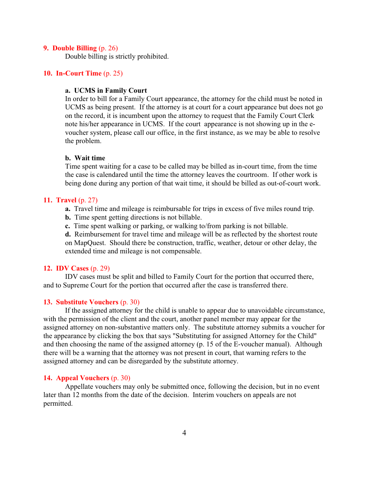### **9. Double Billing** (p. 26)

Double billing is strictly prohibited.

## **10. In-Court Time** (p. 25)

# **a. UCMS in Family Court**

In order to bill for a Family Court appearance, the attorney for the child must be noted in UCMS as being present. If the attorney is at court for a court appearance but does not go on the record, it is incumbent upon the attorney to request that the Family Court Clerk note his/her appearance in UCMS. If the court appearance is not showing up in the evoucher system, please call our office, in the first instance, as we may be able to resolve the problem.

#### **b. Wait time**

Time spent waiting for a case to be called may be billed as in-court time, from the time the case is calendared until the time the attorney leaves the courtroom. If other work is being done during any portion of that wait time, it should be billed as out-of-court work.

### **11. Travel** (p. 27)

**a.** Travel time and mileage is reimbursable for trips in excess of five miles round trip.

- **b.** Time spent getting directions is not billable.
- **c.** Time spent walking or parking, or walking to/from parking is not billable.

**d.** Reimbursement for travel time and mileage will be as reflected by the shortest route on MapQuest. Should there be construction, traffic, weather, detour or other delay, the extended time and mileage is not compensable.

## **12. IDV Cases** (p. 29)

IDV cases must be split and billed to Family Court for the portion that occurred there, and to Supreme Court for the portion that occurred after the case is transferred there.

# **13. Substitute Vouchers** (p. 30)

If the assigned attorney for the child is unable to appear due to unavoidable circumstance, with the permission of the client and the court, another panel member may appear for the assigned attorney on non-substantive matters only. The substitute attorney submits a voucher for the appearance by clicking the box that says "Substituting for assigned Attorney for the Child" and then choosing the name of the assigned attorney (p. 15 of the E-voucher manual). Although there will be a warning that the attorney was not present in court, that warning refers to the assigned attorney and can be disregarded by the substitute attorney.

# **14. Appeal Vouchers** (p. 30)

Appellate vouchers may only be submitted once, following the decision, but in no event later than 12 months from the date of the decision. Interim vouchers on appeals are not permitted.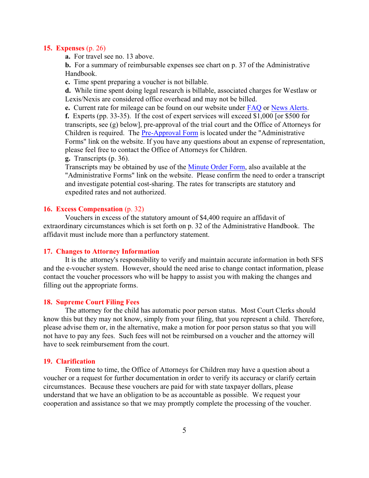### **15. Expenses** (p. 26)

**a.** For travel see no. 13 above.

**b.** For a summary of reimbursable expenses see chart on p. 37 of the Administrative Handbook.

**c.** Time spent preparing a voucher is not billable.

**d.** While time spent doing legal research is billable, associated charges for Westlaw or Lexis/Nexis are considered office overhead and may not be billed.

**e.** Current rate for mileage can be found on our website under [FAQ](http://www.nycourts.gov/ad3/OAC/Forms/FAQ%201-4-17.pdf) or [News Alerts](http://www.nycourts.gov/ad3/OAC/Alerts.html).

**f.** Experts (pp. 33-35). If the cost of expert services will exceed \$1,000 [or \$500 for transcripts, see (g) below], pre-approval of the trial court and the Office of Attorneys for Children is required. The [Pre-Approval Form](http://www.nycourts.gov/ad3/OAC/Forms/pre-approval%20form%201-12-15.pdf) is located under the "Administrative Forms" link on the website. If you have any questions about an expense of representation, please feel free to contact the Office of Attorneys for Children.

## **g.** Transcripts (p. 36).

Transcripts may be obtained by use of the [Minute Order Form](http://www.nycourts.gov/ad3/OAC/Forms/lgminute.pdf), also available at the "Administrative Forms" link on the website. Please confirm the need to order a transcript and investigate potential cost-sharing. The rates for transcripts are statutory and expedited rates and not authorized.

## **16. Excess Compensation** (p. 32)

Vouchers in excess of the statutory amount of \$4,400 require an affidavit of extraordinary circumstances which is set forth on p. 32 of the Administrative Handbook. The affidavit must include more than a perfunctory statement.

#### **17. Changes to Attorney Information**

It is the attorney's responsibility to verify and maintain accurate information in both SFS and the e-voucher system. However, should the need arise to change contact information, please contact the voucher processors who will be happy to assist you with making the changes and filling out the appropriate forms.

### **18. Supreme Court Filing Fees**

The attorney for the child has automatic poor person status. Most Court Clerks should know this but they may not know, simply from your filing, that you represent a child. Therefore, please advise them or, in the alternative, make a motion for poor person status so that you will not have to pay any fees. Such fees will not be reimbursed on a voucher and the attorney will have to seek reimbursement from the court.

### **19. Clarification**

From time to time, the Office of Attorneys for Children may have a question about a voucher or a request for further documentation in order to verify its accuracy or clarify certain circumstances. Because these vouchers are paid for with state taxpayer dollars, please understand that we have an obligation to be as accountable as possible. We request your cooperation and assistance so that we may promptly complete the processing of the voucher.